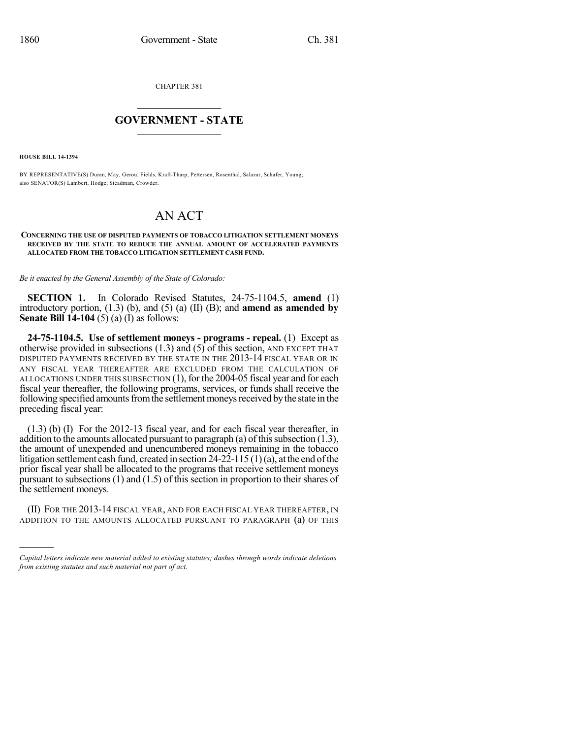CHAPTER 381

## $\overline{\phantom{a}}$  . The set of the set of the set of the set of the set of the set of the set of the set of the set of the set of the set of the set of the set of the set of the set of the set of the set of the set of the set o **GOVERNMENT - STATE**  $\_$

**HOUSE BILL 14-1394**

)))))

BY REPRESENTATIVE(S) Duran, May, Gerou, Fields, Kraft-Tharp, Pettersen, Rosenthal, Salazar, Schafer, Young; also SENATOR(S) Lambert, Hodge, Steadman, Crowder.

## AN ACT

## **CONCERNING THE USE OF DISPUTED PAYMENTS OF TOBACCO LITIGATION SETTLEMENT MONEYS RECEIVED BY THE STATE TO REDUCE THE ANNUAL AMOUNT OF ACCELERATED PAYMENTS ALLOCATED FROM THE TOBACCO LITIGATION SETTLEMENT CASH FUND.**

*Be it enacted by the General Assembly of the State of Colorado:*

**SECTION 1.** In Colorado Revised Statutes, 24-75-1104.5, **amend** (1) introductory portion, (1.3) (b), and (5) (a) (II) (B); and **amend as amended by Senate Bill 14-104** (5) (a) (I) as follows:

**24-75-1104.5. Use of settlement moneys - programs - repeal.** (1) Except as otherwise provided in subsections  $(1.3)$  and  $(5)$  of this section, AND EXCEPT THAT DISPUTED PAYMENTS RECEIVED BY THE STATE IN THE 2013-14 FISCAL YEAR OR IN ANY FISCAL YEAR THEREAFTER ARE EXCLUDED FROM THE CALCULATION OF ALLOCATIONS UNDER THIS SUBSECTION (1), for the 2004-05 fiscal year and for each fiscal year thereafter, the following programs, services, or funds shall receive the following specified amounts from the settlement moneys received by the state in the preceding fiscal year:

(1.3) (b) (I) For the 2012-13 fiscal year, and for each fiscal year thereafter, in addition to the amounts allocated pursuant to paragraph (a) of this subsection  $(1.3)$ , the amount of unexpended and unencumbered moneys remaining in the tobacco litigation settlement cash fund, created in section  $24-22-115(1)(a)$ , at the end of the prior fiscal year shall be allocated to the programs that receive settlement moneys pursuant to subsections (1) and (1.5) of this section in proportion to their shares of the settlement moneys.

(II) FOR THE 2013-14 FISCAL YEAR, AND FOR EACH FISCAL YEAR THEREAFTER, IN ADDITION TO THE AMOUNTS ALLOCATED PURSUANT TO PARAGRAPH (a) OF THIS

*Capital letters indicate new material added to existing statutes; dashes through words indicate deletions from existing statutes and such material not part of act.*